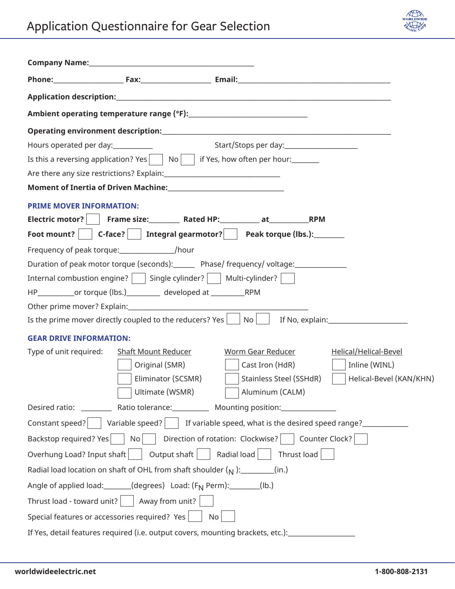

| Is this a reversing application? Yes $\Box$ No $\Box$ if Yes, how often per hour:                               |
|-----------------------------------------------------------------------------------------------------------------|
|                                                                                                                 |
|                                                                                                                 |
| <b>PRIME MOVER INFORMATION:</b>                                                                                 |
|                                                                                                                 |
| Foot mount?     C-face?     Integral gearmotor?     Peak torque (lbs.): ________                                |
| Frequency of peak torque: // //                                                                                 |
| Duration of peak motor torque (seconds):_______ Phase/ frequency/ voltage:_____________                         |
| Internal combustion engine? $\vert$   Single cylinder? $\vert$   Multi-cylinder? $\vert$                        |
| HP_____________or torque (lbs.)___________ developed at _______________RPM                                      |
|                                                                                                                 |
| Is the prime mover directly coupled to the reducers? Yes   No   If No, explain:                                 |
| <b>GEAR DRIVE INFORMATION:</b>                                                                                  |
| <b>Worm Gear Reducer</b><br>Helical/Helical-Bevel<br>Type of unit required:<br>Shaft Mount Reducer              |
| Original (SMR)<br>Cast Iron (HdR)<br>Inline (WINL)                                                              |
| Eliminator (SCSMR)<br>Stainless Steel (SSHdR)<br>Helical-Bevel (KAN/KHN)                                        |
| Ultimate (WSMR)<br>Aluminum (CALM)                                                                              |
| Desired ratio: ____________ Ratio tolerance: _____________ Mounting position: _____________________             |
| Constant speed? $\vert$ Variable speed? $\vert$ If variable speed, what is the desired speed range?             |
| $\vert$ Direction of rotation: Clockwise? $\vert$ $\vert$ Counter Clock? $\vert$<br>Backstop required? Yes   No |
| Overhung Load? Input shaft   Output shaft   Radial load   Thrust load                                           |
| Radial load location on shaft of OHL from shaft shoulder $(\gamma)$ : ________(in.)                             |
| Angle of applied load: ______(degrees) Load: (F <sub>N</sub> Perm): _______(lb.)                                |
| Thrust load - toward unit? $\vert$ $\vert$ Away from unit?                                                      |
| Special features or accessories required? Yes<br><b>No</b>                                                      |
| If Yes, detail features required (i.e. output covers, mounting brackets, etc.): ___________________             |